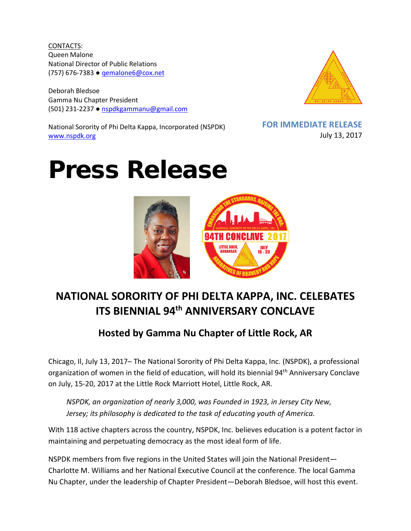CONTACTS: Queen Malone National Director of Public Relations (757) 676-7383 ● [qemalone6@cox.net](mailto:qemalone6@cox.net)

Deborah Bledsoe Gamma Nu Chapter President (501) 231-2237 ● [nspdkgammanu@gmail.com](mailto:nspdkgammanu@gmail.com)

National Sorority of Phi Delta Kappa, Incorporated (NSPDK) [www.nspdk.org](http://www.nspdk.org/)



**FOR IMMEDIATE RELEASE** July 13, 2017

## Press Release



## **NATIONAL SORORITY OF PHI DELTA KAPPA, INC. CELEBATES ITS BIENNIAL 94th ANNIVERSARY CONCLAVE**

## **Hosted by Gamma Nu Chapter of Little Rock, AR**

Chicago, Il, July 13, 2017– The National Sorority of Phi Delta Kappa, Inc. (NSPDK), a professional organization of women in the field of education, will hold its biennial 94<sup>th</sup> Anniversary Conclave on July, 15-20, 2017 at the Little Rock Marriott Hotel, Little Rock, AR.

*NSPDK, an organization of nearly 3,000, was Founded in 1923, in Jersey City New, Jersey; its philosophy is dedicated to the task of educating youth of America.*

With 118 active chapters across the country, NSPDK, Inc. believes education is a potent factor in maintaining and perpetuating democracy as the most ideal form of life.

NSPDK members from five regions in the United States will join the National President— Charlotte M. Williams and her National Executive Council at the conference. The local Gamma Nu Chapter, under the leadership of Chapter President—Deborah Bledsoe, will host this event.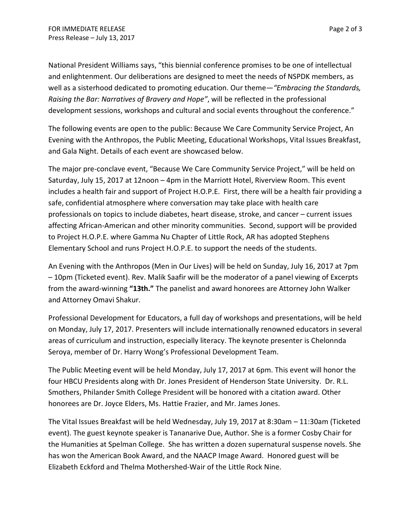National President Williams says, "this biennial conference promises to be one of intellectual and enlightenment. Our deliberations are designed to meet the needs of NSPDK members, as well as a sisterhood dedicated to promoting education. Our theme*—"Embracing the Standards, Raising the Bar: Narratives of Bravery and Hope"*, will be reflected in the professional development sessions, workshops and cultural and social events throughout the conference."

The following events are open to the public: Because We Care Community Service Project, An Evening with the Anthropos, the Public Meeting, Educational Workshops, Vital Issues Breakfast, and Gala Night. Details of each event are showcased below.

The major pre-conclave event, "Because We Care Community Service Project," will be held on Saturday, July 15, 2017 at 12noon – 4pm in the Marriott Hotel, Riverview Room. This event includes a health fair and support of Project H.O.P.E. First, there will be a health fair providing a safe, confidential atmosphere where conversation may take place with health care professionals on topics to include diabetes, heart disease, stroke, and cancer – current issues affecting African-American and other minority communities. Second, support will be provided to Project H.O.P.E. where Gamma Nu Chapter of Little Rock, AR has adopted Stephens Elementary School and runs Project H.O.P.E. to support the needs of the students.

An Evening with the Anthropos (Men in Our Lives) will be held on Sunday, July 16, 2017 at 7pm – 10pm (Ticketed event). Rev. Malik Saafir will be the moderator of a panel viewing of Excerpts from the award-winning **"13th."** The panelist and award honorees are Attorney John Walker and Attorney Omavi Shakur.

Professional Development for Educators, a full day of workshops and presentations, will be held on Monday, July 17, 2017. Presenters will include internationally renowned educators in several areas of curriculum and instruction, especially literacy. The keynote presenter is Chelonnda Seroya, member of Dr. Harry Wong's Professional Development Team.

The Public Meeting event will be held Monday, July 17, 2017 at 6pm. This event will honor the four HBCU Presidents along with Dr. Jones President of Henderson State University. Dr. R.L. Smothers, Philander Smith College President will be honored with a citation award. Other honorees are Dr. Joyce Elders, Ms. Hattie Frazier, and Mr. James Jones.

The Vital Issues Breakfast will be held Wednesday, July 19, 2017 at 8:30am – 11:30am (Ticketed event). The guest keynote speaker is Tananarive Due, Author. She is a former Cosby Chair for the Humanities at Spelman College. She has written a dozen supernatural suspense novels. She has won the American Book Award, and the NAACP Image Award. Honored guest will be Elizabeth Eckford and Thelma Mothershed-Wair of the Little Rock Nine.